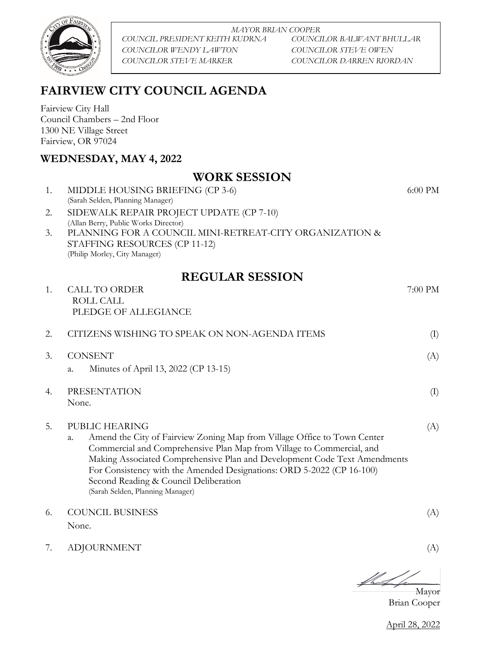

*MAYOR BRIAN COOPER COUNCIL PRESIDENT KEITH KUDRNA COUNCILOR BALWANT BHULLAR COUNCILOR WENDY LAWTON COUNCILOR STEVE OWEN COUNCILOR STEVE MARKER COUNCILOR DARREN RIORDAN*

# **FAIRVIEW CITY COUNCIL AGENDA**

Fairview City Hall Council Chambers – 2nd Floor 1300 NE Village Street Fairview, OR 97024

### **WEDNESDAY, MAY 4, 2022**

## 1. MIDDLE HOUSING BRIEFING (CP 3-6) (Sarah Selden, Planning Manager) 6:00 PM 2. SIDEWALK REPAIR PROJECT UPDATE (CP 7-10) (Allan Berry, Public Works Director) 3. PLANNING FOR A COUNCIL MINI-RETREAT-CITY ORGANIZATION & STAFFING RESOURCES (CP 11-12) (Philip Morley, City Manager) **REGULAR SESSION** 1. CALL TO ORDER 7:00 PM ROLL CALL PLEDGE OF ALLEGIANCE 2. CITIZENS WISHING TO SPEAK ON NON-AGENDA ITEMS (I) 3. CONSENT (A) a. Minutes of April 13, 2022 (CP 13-15) 4. PRESENTATION (I) None. 5. PUBLIC HEARING (A) a. Amend the City of Fairview Zoning Map from Village Office to Town Center Commercial and Comprehensive Plan Map from Village to Commercial, and Making Associated Comprehensive Plan and Development Code Text Amendments For Consistency with the Amended Designations: ORD 5-2022 (CP 16-100) Second Reading & Council Deliberation (Sarah Selden, Planning Manager) 6. COUNCIL BUSINESS (A) None.

**WORK SESSION**

7. ADJOURNMENT (A)

 $\#f$ 

Mayor Brian Cooper

April 28, 2022